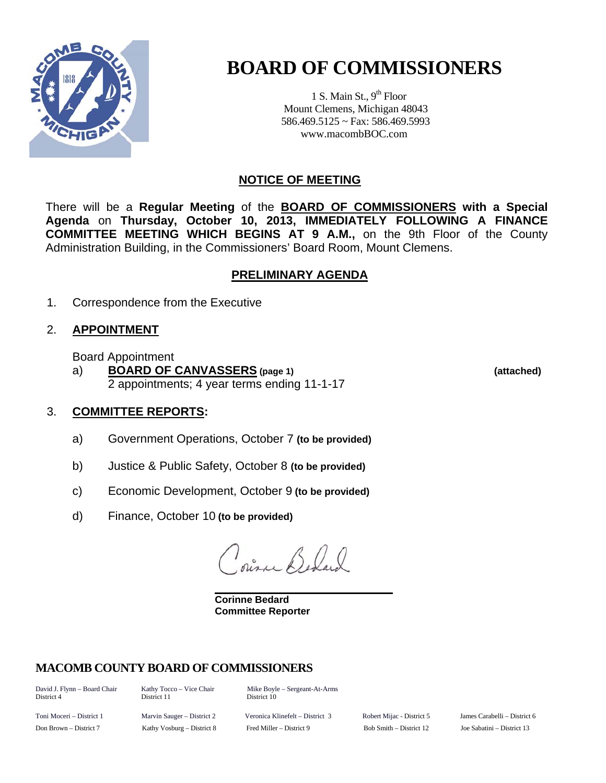

# **BOARD OF COMMISSIONERS**

1 S. Main St.,  $9<sup>th</sup>$  Floor Mount Clemens, Michigan 48043 586.469.5125 ~ Fax: 586.469.5993 www.macombBOC.com

# **NOTICE OF MEETING**

There will be a **Regular Meeting** of the **BOARD OF COMMISSIONERS with a Special Agenda** on **Thursday, October 10, 2013, IMMEDIATELY FOLLOWING A FINANCE COMMITTEE MEETING WHICH BEGINS AT 9 A.M.,** on the 9th Floor of the County Administration Building, in the Commissioners' Board Room, Mount Clemens.

# **PRELIMINARY AGENDA**

1. Correspondence from the Executive

# 2. **APPOINTMENT**

Board Appointment

 a) **BOARD OF CANVASSERS (page 1) (attached)** 2 appointments; 4 year terms ending 11-1-17

# 3. **COMMITTEE REPORTS:**

- a) Government Operations, October 7 **(to be provided)**
- b) Justice & Public Safety, October 8 **(to be provided)**
- c) Economic Development, October 9 **(to be provided)**

d) Finance, October 10 **(to be provided)**

 $\mathcal{L}$ ,  $\mathcal{L}$ ,  $\mathcal{L}$ 

**Corinne Bedard Committee Reporter** 

# **MACOMB COUNTY BOARD OF COMMISSIONERS**

District 4 District 11 District 10

David J. Flynn – Board Chair Kathy Tocco – Vice Chair Mike Boyle – Sergeant-At-Arms

Toni Moceri – District 1 Marvin Sauger – District 2 Veronica Klinefelt – District 3 Robert Mijac - District 5 James Carabelli – District 6 Don Brown – District 7 Kathy Vosburg – District 8 Fred Miller – District 9 Bob Smith – District 12 Joe Sabatini – District 13